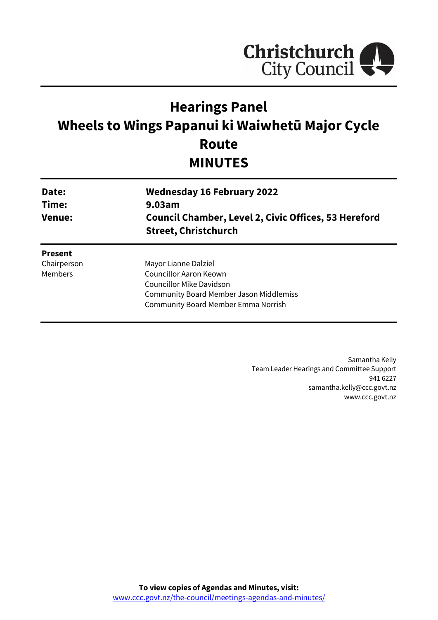

# **Hearings Panel Wheels to Wings Papanui ki Waiwhetū Major Cycle Route MINUTES**

| Date:<br>Time:<br><b>Venue:</b> | <b>Wednesday 16 February 2022</b><br>9.03am<br><b>Council Chamber, Level 2, Civic Offices, 53 Hereford</b><br><b>Street, Christchurch</b> |
|---------------------------------|-------------------------------------------------------------------------------------------------------------------------------------------|
| <b>Present</b>                  |                                                                                                                                           |
| Chairperson                     | Mayor Lianne Dalziel                                                                                                                      |
| Members                         | Councillor Aaron Keown                                                                                                                    |
|                                 | Councillor Mike Davidson                                                                                                                  |
|                                 | <b>Community Board Member Jason Middlemiss</b>                                                                                            |
|                                 | <b>Community Board Member Emma Norrish</b>                                                                                                |
|                                 |                                                                                                                                           |

Samantha Kelly Team Leader Hearings and Committee Support 941 6227 samantha.kelly@ccc.govt.nz [www.ccc.govt.nz](http://www.ccc.govt.nz/)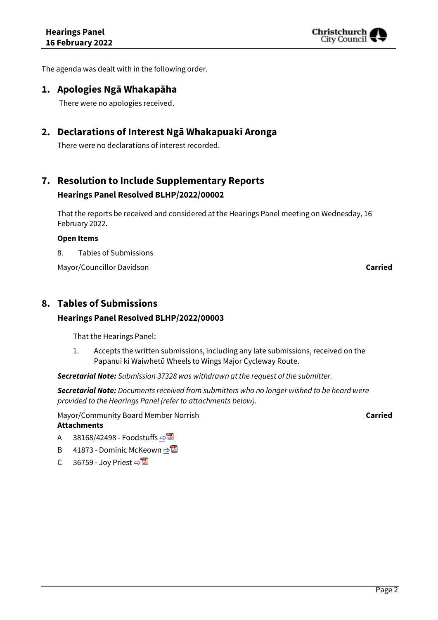

The agenda was dealt with in the following order.

### **1. Apologies Ngā Whakapāha**

There were no apologies received.

### **2. Declarations of Interest Ngā Whakapuaki Aronga**

There were no declarations of interest recorded.

# **7. Resolution to Include Supplementary Reports Hearings Panel Resolved BLHP/2022/00002**

That the reports be received and considered at the Hearings Panel meeting on Wednesday, 16 February 2022.

#### **Open Items**

8. Tables of Submissions

Mayor/Councillor Davidson **Carried**

### **8. Tables of Submissions**

### **Hearings Panel Resolved BLHP/2022/00003**

That the Hearings Panel:

1. Accepts the written submissions, including any late submissions, received on the Papanui ki Waiwhetū Wheels to Wings Major Cycleway Route.

*Secretarial Note: Submission 37328 was withdrawn at the request of the submitter.*

*Secretarial Note: Documents received from submitters who no longer wished to be heard were provided to the Hearings Panel (refer to attachments below).*

Mayor/Community Board Member Norrish **Carried**

### **Attachments**

- A 38168/42498 Foodstuffs  $\Rightarrow$
- B 41873 Dominic McKeown  $\Rightarrow \blacksquare$
- C 36759 Joy Priest  $\Rightarrow$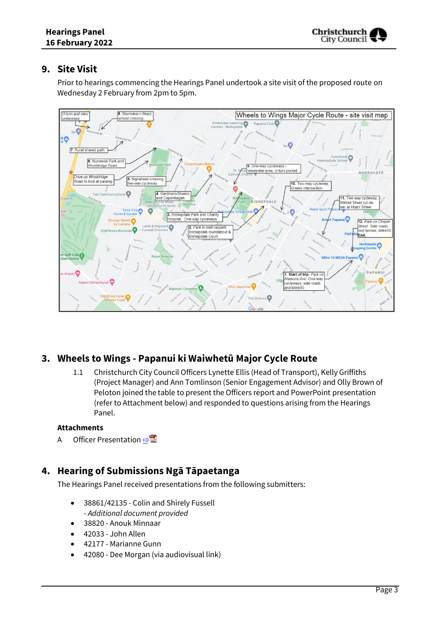### **9. Site Visit**

Prior to hearings commencing the Hearings Panel undertook a site visit of the proposed route on Wednesday 2 February from 2pm to 5pm.



# **3. Wheels to Wings - Papanui ki Waiwhetū Major Cycle Route**

1.1 Christchurch City Council Officers Lynette Ellis (Head of Transport), Kelly Griffiths (Project Manager) and Ann Tomlinson (Senior Engagement Advisor) and Olly Brown of Peloton joined the table to present the Officers report and PowerPoint presentation (refer to Attachment below) and responded to questions arising from the Hearings Panel.

### **Attachments**

A Officer Presentation ⇒

# **4. Hearing of Submissions Ngā Tāpaetanga**

The Hearings Panel received presentations from the following submitters:

- 38861/42135 Colin and Shirely Fussell - *Additional document provided*
- 38820 Anouk Minnaar
- 42033 John Allen
- 42177 Marianne Gunn
- 42080 Dee Morgan (via audiovisual link)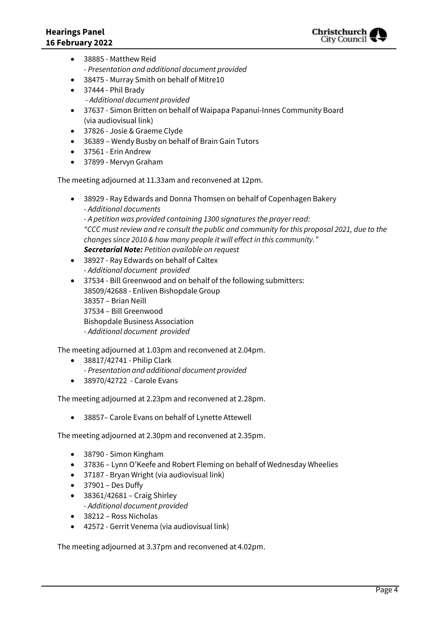

- 38885 Matthew Reid - *Presentation and additional document provided*
- 38475 Murray Smith on behalf of Mitre10
- 37444 Phil Brady - *Additional document provided*
- 37637 Simon Britten on behalf of Waipapa Papanui-Innes Community Board (via audiovisual link)
- 37826 Josie & Graeme Clyde
- 36389 Wendy Busby on behalf of Brain Gain Tutors
- 37561 Erin Andrew
- 37899 Mervyn Graham

The meeting adjourned at 11.33am and reconvened at 12pm.

- 38929 Ray Edwards and Donna Thomsen on behalf of Copenhagen Bakery - *Additional documents - A petition was provided containing 1300 signatures the prayer read: "CCC must review and re consult the public and community for this proposal 2021, due to the changes since 2010 & how many people it will effect in this community." Secretarial Note: Petition available on request*
- 38927 Ray Edwards on behalf of Caltex - *Additional document provided*
- 37534 Bill Greenwood and on behalf of the following submitters: 38509/42688 - Enliven Bishopdale Group 38357 – Brian Neill 37534 – Bill Greenwood Bishopdale Business Association - *Additional document provided*

The meeting adjourned at 1.03pm and reconvened at 2.04pm.

- 38817/42741 Philip Clark
	- *- Presentation and additional document provided*
- 38970/42722 Carole Evans

The meeting adjourned at 2.23pm and reconvened at 2.28pm.

38857– Carole Evans on behalf of Lynette Attewell

The meeting adjourned at 2.30pm and reconvened at 2.35pm.

- 38790 Simon Kingham
- 37836 Lynn O'Keefe and Robert Fleming on behalf of Wednesday Wheelies
- 37187 Bryan Wright (via audiovisual link)
- $\bullet$  37901 Des Duffy
- 38361/42681 Craig Shirley *- Additional document provided*
- 38212 Ross Nicholas
- 42572 Gerrit Venema (via audiovisual link)

The meeting adjourned at 3.37pm and reconvened at 4.02pm.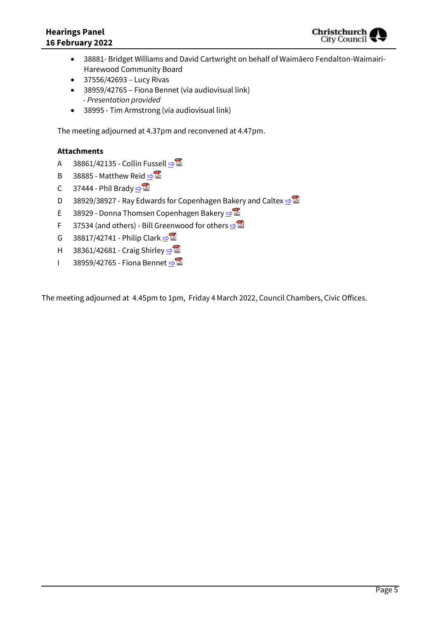

- 38881- Bridget Williams and David Cartwright on behalf of Waimāero Fendalton-Waimairi-Harewood Community Board
- $\bullet$  37556/42693 Lucy Rivas
- 38959/42765 Fiona Bennet (via audiovisual link)  *- Presentation provided*
- 38995 Tim Armstrong (via audiovisual link)

The meeting adjourned at 4.37pm and reconvened at 4.47pm.

### **Attachments**

- A 38861/42135 Collin Fussell  $\Rightarrow$
- B 38885 Matthew Reid  $\Rightarrow$
- C 37444 Phil Brady  $\n **□**\n$
- D 38929/38927 Ray Edwards for Copenhagen Bakery and Caltex **[⇨](../../../RedirectToInvalidFileName.aspx?FileName=BLHP_20220216_MAT_7827.PDF#PAGE=49)</u>**
- E 38929 Donna Thomsen Copenhagen Bakery **[⇨](../../../RedirectToInvalidFileName.aspx?FileName=BLHP_20220216_MAT_7827.PDF#PAGE=77)**
- F 37534 (and others) Bill Greenwood for others  $\Rightarrow$
- G 38817/42741 Philip Clark  $\Rightarrow$
- H 38361/42681 Craig Shirley [⇨](../../../RedirectToInvalidFileName.aspx?FileName=BLHP_20220216_MAT_7827.PDF#PAGE=100)
- I 38959/42765 Fiona Bennet [⇨](../../../RedirectToInvalidFileName.aspx?FileName=BLHP_20220216_MAT_7827.PDF#PAGE=102)

The meeting adjourned at 4.45pm to 1pm, Friday 4 March 2022, Council Chambers, Civic Offices.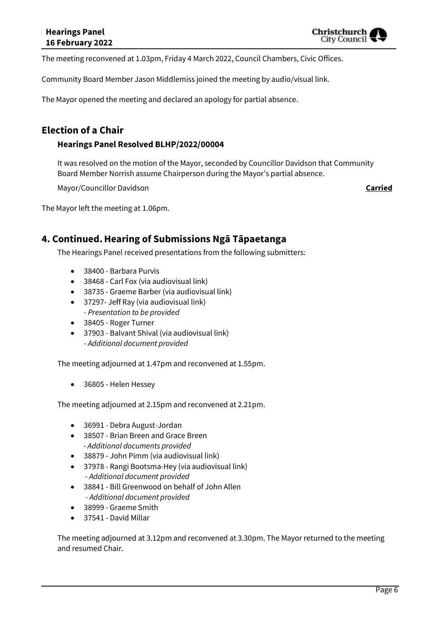Christchurch City Counci

The meeting reconvened at 1.03pm, Friday 4 March 2022, Council Chambers, Civic Offices.

Community Board Member Jason Middlemiss joined the meeting by audio/visual link.

The Mayor opened the meeting and declared an apology for partial absence.

### **Election of a Chair**

### **Hearings Panel Resolved BLHP/2022/00004**

It was resolved on the motion of the Mayor, seconded by Councillor Davidson that Community Board Member Norrish assume Chairperson during the Mayor's partial absence.

Mayor/Councillor Davidson **Carried**

The Mayor left the meeting at 1.06pm.

### **4. Continued.Hearing of Submissions Ngā Tāpaetanga**

The Hearings Panel received presentations from the following submitters:

- 38400 Barbara Purvis
- 38468 Carl Fox (via audiovisual link)
- 38735 Graeme Barber (via audiovisual link)
- 37297- Jeff Ray (via audiovisual link) *- Presentation to be provided*
- 38405 Roger Turner
- 37903 Balvant Shival (via audiovisual link)
- *Additional document provided*

The meeting adjourned at 1.47pm and reconvened at 1.55pm.

36805 - Helen Hessey

The meeting adjourned at 2.15pm and reconvened at 2.21pm.

- 36991 Debra August-Jordan
- 38507 Brian Breen and Grace Breen - *Additional documents provided*
- 38879 John Pimm (via audiovisual link)
- 37978 Rangi Bootsma-Hey (via audiovisual link) - *Additional document provided*
- 38841 Bill Greenwood on behalf of John Allen - *Additional document provided*
- 38999 Graeme Smith
- 37541 David Millar

The meeting adjourned at 3.12pm and reconvened at 3.30pm. The Mayor returned to the meeting and resumed Chair.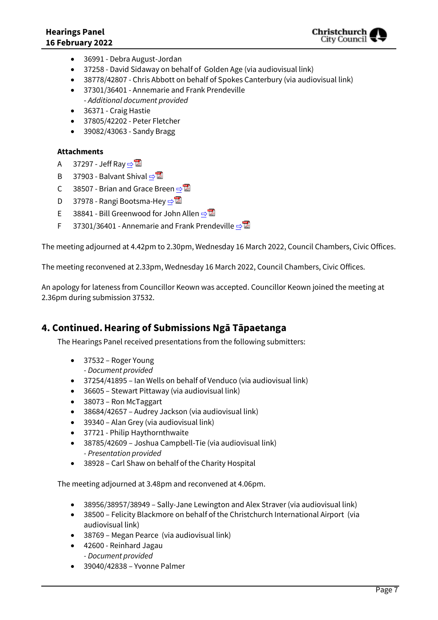

- 36991 Debra August-Jordan
- 37258 David Sidaway on behalf of Golden Age (via audiovisual link)
- 38778/42807 Chris Abbott on behalf of Spokes Canterbury (via audiovisual link)
- 37301/36401 Annemarie and Frank Prendeville - *Additional document provided*
- 36371 Craig Hastie
- 37805/42202 Peter Fletcher
- 39082/43063 Sandy Bragg

### **Attachments**

- A 37297 Jeff Ray  $\n **□**$
- B 37903 Balvant Shival  $\Rightarrow$
- C 38507 Brian and Grace Breen  $\Rightarrow$
- D 37978 Rangi Bootsma-Hey **[⇨](../../../RedirectToInvalidFileName.aspx?FileName=BLHP_20220216_MAT_7827.PDF#PAGE=120)</u>**
- E 38841 Bill Greenwood for John Allen  $\Rightarrow$
- F 37301/36401 Annemarie and Frank Prendeville  $\Rightarrow$

The meeting adjourned at 4.42pm to 2.30pm, Wednesday 16 March 2022, Council Chambers, Civic Offices.

The meeting reconvened at 2.33pm, Wednesday 16 March 2022, Council Chambers, Civic Offices.

An apology for lateness from Councillor Keown was accepted. Councillor Keown joined the meeting at 2.36pm during submission 37532.

### **4. Continued.Hearing of Submissions Ngā Tāpaetanga**

The Hearings Panel received presentations from the following submitters:

- 37532 Roger Young
	- *- Document provided*
- 37254/41895 Ian Wells on behalf of Venduco (via audiovisual link)
- 36605 Stewart Pittaway (via audiovisual link)
- 38073 Ron McTaggart
- 38684/42657 Audrey Jackson (via audiovisual link)
- 39340 Alan Grey (via audiovisual link)
- 37721 Philip Haythornthwaite
- 38785/42609 Joshua Campbell-Tie (via audiovisual link) *- Presentation provided*
- 38928 Carl Shaw on behalf of the Charity Hospital

The meeting adjourned at 3.48pm and reconvened at 4.06pm.

- 38956/38957/38949 Sally-Jane Lewington and Alex Straver (via audiovisual link)
- 38500 Felicity Blackmore on behalf of the Christchurch International Airport (via audiovisual link)
- 38769 Megan Pearce (via audiovisual link)
- 42600 Reinhard Jagau *- Document provided*
- 39040/42838 Yvonne Palmer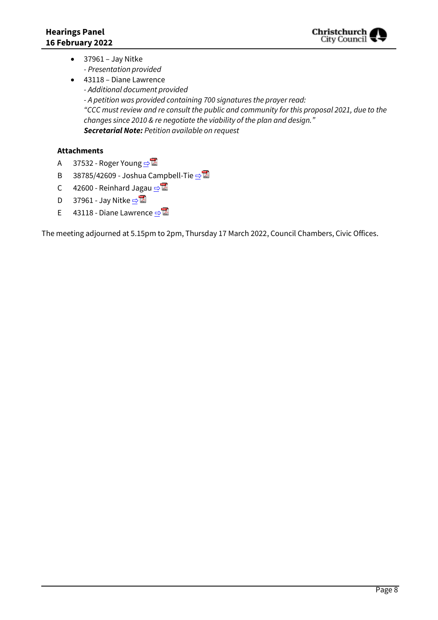

- $\bullet$  37961 Jay Nitke *- Presentation provided*
- 43118 Diane Lawrence *- Additional document provided - A petition was provided containing 700 signatures the prayer read: "CCC must review and re consult the public and community for this proposal 2021, due to the changes since 2010 & re negotiate the viability of the plan and design." Secretarial Note: Petition available on request*

### **Attachments**

- A 37532 Roger Young  $\n <sup>2</sup>$
- B 38785/42609 Joshua Campbell-Tie  $\n <sup>B</sup>$
- C 42600 Reinhard Jagau  $\Rightarrow$
- D 37961 Jay Nitke  $\Rightarrow$
- E 43118 Diane Lawrence  $\n <sup>•</sup>$

The meeting adjourned at 5.15pm to 2pm, Thursday 17 March 2022, Council Chambers, Civic Offices.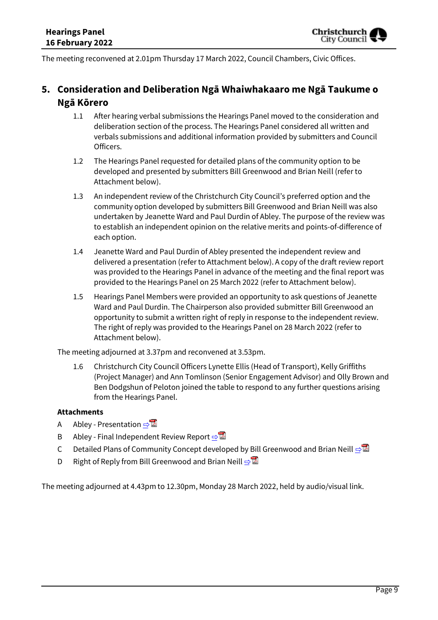The meeting reconvened at 2.01pm Thursday 17 March 2022, Council Chambers, Civic Offices.

# **5. Consideration and Deliberation Ngā Whaiwhakaaro me Ngā Taukume o Ngā Kōrero**

- 1.1 After hearing verbal submissions the Hearings Panel moved to the consideration and deliberation section of the process. The Hearings Panel considered all written and verbals submissions and additional information provided by submitters and Council Officers.
- 1.2 The Hearings Panel requested for detailed plans of the community option to be developed and presented by submitters Bill Greenwood and Brian Neill (refer to Attachment below).
- 1.3 An independent review of the Christchurch City Council's preferred option and the community option developed by submitters Bill Greenwood and Brian Neill was also undertaken by Jeanette Ward and Paul Durdin of Abley. The purpose of the review was to establish an independent opinion on the relative merits and points-of-difference of each option.
- 1.4 Jeanette Ward and Paul Durdin of Abley presented the independent review and delivered a presentation (refer to Attachment below). A copy of the draft review report was provided to the Hearings Panel in advance of the meeting and the final report was provided to the Hearings Panel on 25 March 2022 (refer to Attachment below).
- 1.5 Hearings Panel Members were provided an opportunity to ask questions of Jeanette Ward and Paul Durdin. The Chairperson also provided submitter Bill Greenwood an opportunity to submit a written right of reply in response to the independent review. The right of reply was provided to the Hearings Panel on 28 March 2022 (refer to Attachment below).

The meeting adjourned at 3.37pm and reconvened at 3.53pm.

1.6 Christchurch City Council Officers Lynette Ellis (Head of Transport), Kelly Griffiths (Project Manager) and Ann Tomlinson (Senior Engagement Advisor) and Olly Brown and Ben Dodgshun of Peloton joined the table to respond to any further questions arising from the Hearings Panel.

### **Attachments**

- A Abley Presentation  $\Rightarrow$
- B Abley Final Independent Review Report **[⇨](../../../RedirectToInvalidFileName.aspx?FileName=BLHP_20220216_MAT_7827.PDF#PAGE=180)**
- C Detailed Plans of Community Concept developed by Bill Greenwood and Brian Neill **□**
- D Right of Reply from Bill Greenwood and Brian Neill  $\Rightarrow$

The meeting adjourned at 4.43pm to 12.30pm, Monday 28 March 2022, held by audio/visual link.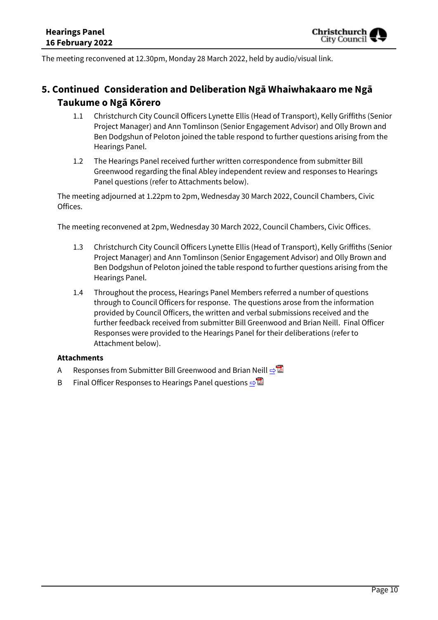The meeting reconvened at 12.30pm, Monday 28 March 2022, held by audio/visual link.

# **5. Continued Consideration and Deliberation Ngā Whaiwhakaaro me Ngā Taukume o Ngā Kōrero**

- 1.1 Christchurch City Council Officers Lynette Ellis (Head of Transport), Kelly Griffiths (Senior Project Manager) and Ann Tomlinson (Senior Engagement Advisor) and Olly Brown and Ben Dodgshun of Peloton joined the table respond to further questions arising from the Hearings Panel.
- 1.2 The Hearings Panel received further written correspondence from submitter Bill Greenwood regarding the final Abley independent review and responses to Hearings Panel questions (refer to Attachments below).

The meeting adjourned at 1.22pm to 2pm, Wednesday 30 March 2022, Council Chambers, Civic Offices.

The meeting reconvened at 2pm, Wednesday 30 March 2022, Council Chambers, Civic Offices.

- 1.3 Christchurch City Council Officers Lynette Ellis (Head of Transport), Kelly Griffiths (Senior Project Manager) and Ann Tomlinson (Senior Engagement Advisor) and Olly Brown and Ben Dodgshun of Peloton joined the table respond to further questions arising from the Hearings Panel.
- 1.4 Throughout the process, Hearings Panel Members referred a number of questions through to Council Officers for response. The questions arose from the information provided by Council Officers, the written and verbal submissions received and the further feedback received from submitter Bill Greenwood and Brian Neill. Final Officer Responses were provided to the Hearings Panel for their deliberations (refer to Attachment below).

### **Attachments**

- A Responses from Submitter Bill Greenwood and Brian Neill **[⇨](../../../RedirectToInvalidFileName.aspx?FileName=BLHP_20220216_MAT_7827.PDF#PAGE=214)</u>।**
- B Final Officer Responses to Hearings Panel questions  $\Rightarrow$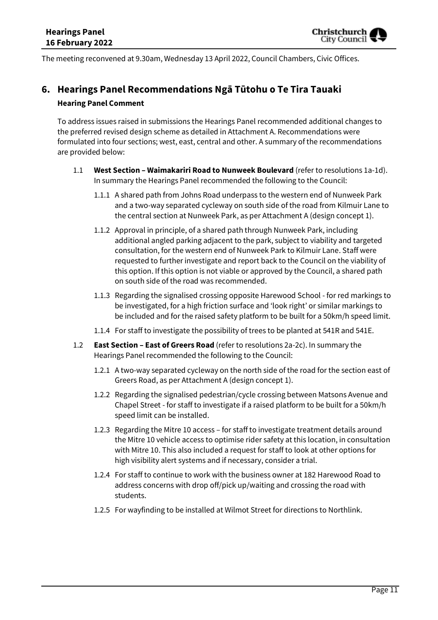

The meeting reconvened at 9.30am, Wednesday 13 April 2022, Council Chambers, Civic Offices.

# **6. Hearings Panel Recommendations Ngā Tūtohu o Te Tira Tauaki Hearing Panel Comment**

To address issues raised in submissions the Hearings Panel recommended additional changes to the preferred revised design scheme as detailed in Attachment A. Recommendations were formulated into four sections; west, east, central and other. A summary of the recommendations are provided below:

- 1.1 **West Section – Waimakariri Road to Nunweek Boulevard** (refer to resolutions 1a-1d). In summary the Hearings Panel recommended the following to the Council:
	- 1.1.1 A shared path from Johns Road underpass to the western end of Nunweek Park and a two-way separated cycleway on south side of the road from Kilmuir Lane to the central section at Nunweek Park, as per Attachment A (design concept 1).
	- 1.1.2 Approval in principle, of a shared path through Nunweek Park, including additional angled parking adjacent to the park, subject to viability and targeted consultation, for the western end of Nunweek Park to Kilmuir Lane. Staff were requested to further investigate and report back to the Council on the viability of this option. If this option is not viable or approved by the Council, a shared path on south side of the road was recommended.
	- 1.1.3 Regarding the signalised crossing opposite Harewood School for red markings to be investigated, for a high friction surface and 'look right' or similar markings to be included and for the raised safety platform to be built for a 50km/h speed limit.
	- 1.1.4 For staff to investigate the possibility of trees to be planted at 541R and 541E.
- 1.2 **East Section – East of Greers Road** (refer to resolutions 2a-2c). In summary the Hearings Panel recommended the following to the Council:
	- 1.2.1 A two-way separated cycleway on the north side of the road for the section east of Greers Road, as per Attachment A (design concept 1).
	- 1.2.2 Regarding the signalised pedestrian/cycle crossing between Matsons Avenue and Chapel Street - for staff to investigate if a raised platform to be built for a 50km/h speed limit can be installed.
	- 1.2.3 Regarding the Mitre 10 access for staff to investigate treatment details around the Mitre 10 vehicle access to optimise rider safety at this location, in consultation with Mitre 10. This also included a request for staff to look at other options for high visibility alert systems and if necessary, consider a trial.
	- 1.2.4 For staff to continue to work with the business owner at 182 Harewood Road to address concerns with drop off/pick up/waiting and crossing the road with students.
	- 1.2.5 For wayfinding to be installed at Wilmot Street for directions to Northlink.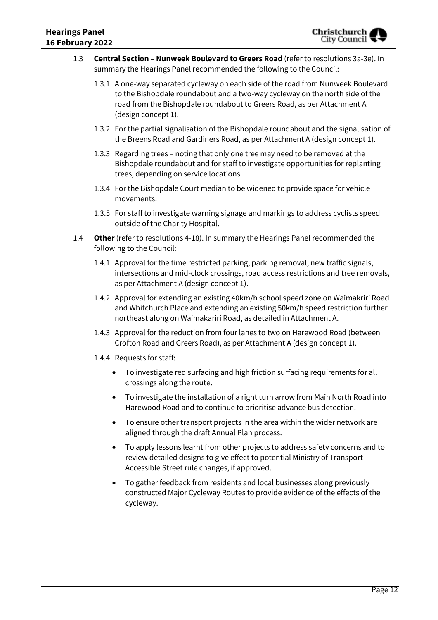- 1.3 **Central Section – Nunweek Boulevard to Greers Road** (refer to resolutions 3a-3e). In summary the Hearings Panel recommended the following to the Council:
	- 1.3.1 A one-way separated cycleway on each side of the road from Nunweek Boulevard to the Bishopdale roundabout and a two-way cycleway on the north side of the road from the Bishopdale roundabout to Greers Road, as per Attachment A (design concept 1).
	- 1.3.2 For the partial signalisation of the Bishopdale roundabout and the signalisation of the Breens Road and Gardiners Road, as per Attachment A (design concept 1).
	- 1.3.3 Regarding trees noting that only one tree may need to be removed at the Bishopdale roundabout and for staff to investigate opportunities for replanting trees, depending on service locations.
	- 1.3.4 For the Bishopdale Court median to be widened to provide space for vehicle movements.
	- 1.3.5 For staff to investigate warning signage and markings to address cyclists speed outside of the Charity Hospital.
- 1.4 **Other** (refer to resolutions 4-18). In summary the Hearings Panel recommended the following to the Council:
	- 1.4.1 Approval for the time restricted parking, parking removal, new traffic signals, intersections and mid-clock crossings, road access restrictions and tree removals, as per Attachment A (design concept 1).
	- 1.4.2 Approval for extending an existing 40km/h school speed zone on Waimakriri Road and Whitchurch Place and extending an existing 50km/h speed restriction further northeast along on Waimakariri Road, as detailed in Attachment A.
	- 1.4.3 Approval for the reduction from four lanes to two on Harewood Road (between Crofton Road and Greers Road), as per Attachment A (design concept 1).
	- 1.4.4 Requests for staff:
		- To investigate red surfacing and high friction surfacing requirements for all crossings along the route.
		- To investigate the installation of a right turn arrow from Main North Road into Harewood Road and to continue to prioritise advance bus detection.
		- To ensure other transport projects in the area within the wider network are aligned through the draft Annual Plan process.
		- To apply lessons learnt from other projects to address safety concerns and to review detailed designs to give effect to potential Ministry of Transport Accessible Street rule changes, if approved.
		- To gather feedback from residents and local businesses along previously constructed Major Cycleway Routes to provide evidence of the effects of the cycleway.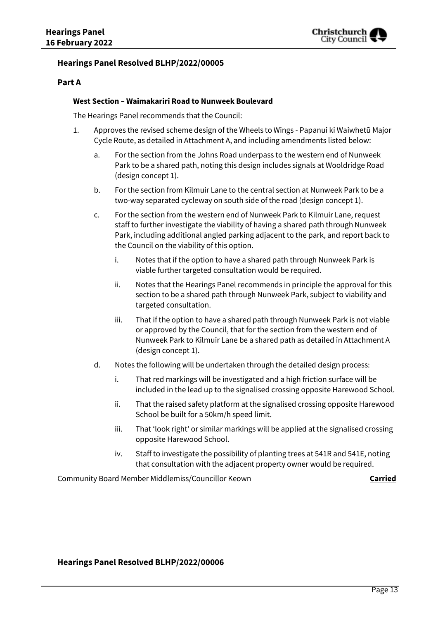

### **Hearings Panel Resolved BLHP/2022/00005**

### **Part A**

#### **West Section – Waimakariri Road to Nunweek Boulevard**

The Hearings Panel recommends that the Council:

- 1. Approves the revised scheme design of the Wheels to Wings Papanui ki Waiwhetū Major Cycle Route, as detailed in Attachment A, and including amendments listed below:
	- a. For the section from the Johns Road underpass to the western end of Nunweek Park to be a shared path, noting this design includes signals at Wooldridge Road (design concept 1).
	- b. For the section from Kilmuir Lane to the central section at Nunweek Park to be a two-way separated cycleway on south side of the road (design concept 1).
	- c. For the section from the western end of Nunweek Park to Kilmuir Lane, request staff to further investigate the viability of having a shared path through Nunweek Park, including additional angled parking adjacent to the park, and report back to the Council on the viability of this option.
		- i. Notes that if the option to have a shared path through Nunweek Park is viable further targeted consultation would be required.
		- ii. Notes that the Hearings Panel recommends in principle the approval for this section to be a shared path through Nunweek Park, subject to viability and targeted consultation.
		- iii. That if the option to have a shared path through Nunweek Park is not viable or approved by the Council, that for the section from the western end of Nunweek Park to Kilmuir Lane be a shared path as detailed in Attachment A (design concept 1).
	- d. Notes the following will be undertaken through the detailed design process:
		- i. That red markings will be investigated and a high friction surface will be included in the lead up to the signalised crossing opposite Harewood School.
		- ii. That the raised safety platform at the signalised crossing opposite Harewood School be built for a 50km/h speed limit.
		- iii. That 'look right' or similar markings will be applied at the signalised crossing opposite Harewood School.
		- iv. Staff to investigate the possibility of planting trees at 541R and 541E, noting that consultation with the adjacent property owner would be required.

Community Board Member Middlemiss/Councillor Keown **Carried** 

### **Hearings Panel Resolved BLHP/2022/00006**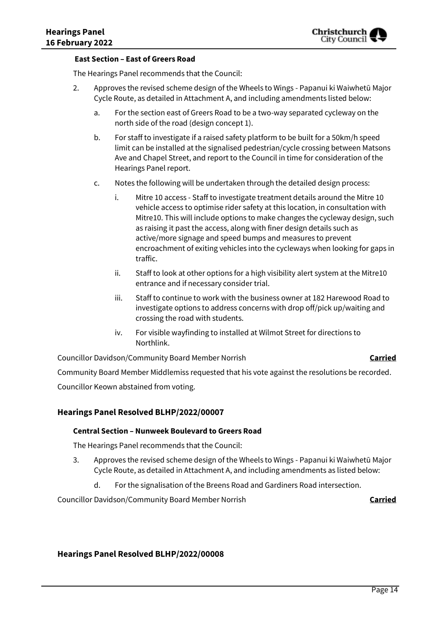#### **East Section – East of Greers Road**

The Hearings Panel recommends that the Council:

- 2. Approves the revised scheme design of the Wheels to Wings Papanui ki Waiwhetū Major Cycle Route, as detailed in Attachment A, and including amendments listed below:
	- a. For the section east of Greers Road to be a two-way separated cycleway on the north side of the road (design concept 1).
	- b. For staff to investigate if a raised safety platform to be built for a 50km/h speed limit can be installed at the signalised pedestrian/cycle crossing between Matsons Ave and Chapel Street, and report to the Council in time for consideration of the Hearings Panel report.
	- c. Notes the following will be undertaken through the detailed design process:
		- i. Mitre 10 access Staff to investigate treatment details around the Mitre 10 vehicle access to optimise rider safety at this location, in consultation with Mitre10. This will include options to make changes the cycleway design, such as raising it past the access, along with finer design details such as active/more signage and speed bumps and measures to prevent encroachment of exiting vehicles into the cycleways when looking for gaps in traffic.
		- ii. Staff to look at other options for a high visibility alert system at the Mitre10 entrance and if necessary consider trial.
		- iii. Staff to continue to work with the business owner at 182 Harewood Road to investigate options to address concerns with drop off/pick up/waiting and crossing the road with students.
		- iv. For visible wayfinding to installed at Wilmot Street for directions to Northlink.

Councillor Davidson/Community Board Member Norrish **Carried** Councillor Davidson/Community Board Member Norrish Community Board Member Middlemiss requested that his vote against the resolutions be recorded.

Councillor Keown abstained from voting.

### **Hearings Panel Resolved BLHP/2022/00007**

### **Central Section – Nunweek Boulevard to Greers Road**

The Hearings Panel recommends that the Council:

- 3. Approves the revised scheme design of the Wheels to Wings Papanui ki Waiwhetū Major Cycle Route, as detailed in Attachment A, and including amendments as listed below:
	- d. For the signalisation of the Breens Road and Gardiners Road intersection.

Councillor Davidson/Community Board Member Norrish **Carried**

### **Hearings Panel Resolved BLHP/2022/00008**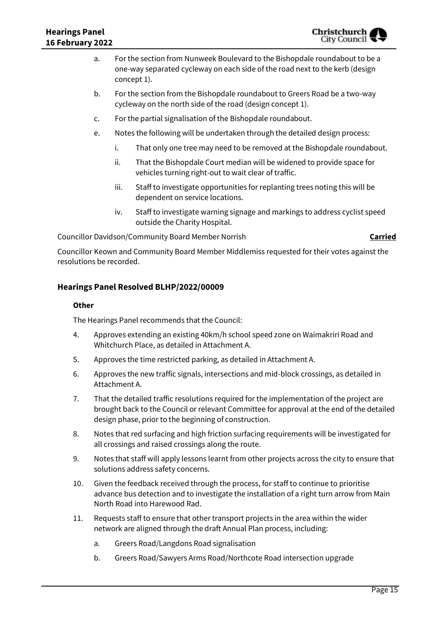- a. For the section from Nunweek Boulevard to the Bishopdale roundabout to be a one-way separated cycleway on each side of the road next to the kerb (design concept 1).
- b. For the section from the Bishopdale roundabout to Greers Road be a two-way cycleway on the north side of the road (design concept 1).
- c. For the partial signalisation of the Bishopdale roundabout.
- e. Notes the following will be undertaken through the detailed design process:
	- i. That only one tree may need to be removed at the Bishopdale roundabout.
	- ii. That the Bishopdale Court median will be widened to provide space for vehicles turning right-out to wait clear of traffic.
	- iii. Staff to investigate opportunities for replanting trees noting this will be dependent on service locations.
	- iv. Staff to investigate warning signage and markings to address cyclist speed outside the Charity Hospital.

Councillor Davidson/Community Board Member Norrish **Carried** Councillor Davidson/Community Board Member Norrish

Councillor Keown and Community Board Member Middlemiss requested for their votes against the resolutions be recorded.

### **Hearings Panel Resolved BLHP/2022/00009**

### **Other**

The Hearings Panel recommends that the Council:

- 4. Approves extending an existing 40km/h school speed zone on Waimakriri Road and Whitchurch Place, as detailed in Attachment A.
- 5. Approves the time restricted parking, as detailed in Attachment A.
- 6. Approves the new traffic signals, intersections and mid-block crossings, as detailed in Attachment A.
- 7. That the detailed traffic resolutions required for the implementation of the project are brought back to the Council or relevant Committee for approval at the end of the detailed design phase, prior to the beginning of construction.
- 8. Notes that red surfacing and high friction surfacing requirements will be investigated for all crossings and raised crossings along the route.
- 9. Notes that staff will apply lessons learnt from other projects across the city to ensure that solutions address safety concerns.
- 10. Given the feedback received through the process, for staff to continue to prioritise advance bus detection and to investigate the installation of a right turn arrow from Main North Road into Harewood Rad.
- 11. Requests staff to ensure that other transport projects in the area within the wider network are aligned through the draft Annual Plan process, including:
	- a. Greers Road/Langdons Road signalisation
	- b. Greers Road/Sawyers Arms Road/Northcote Road intersection upgrade